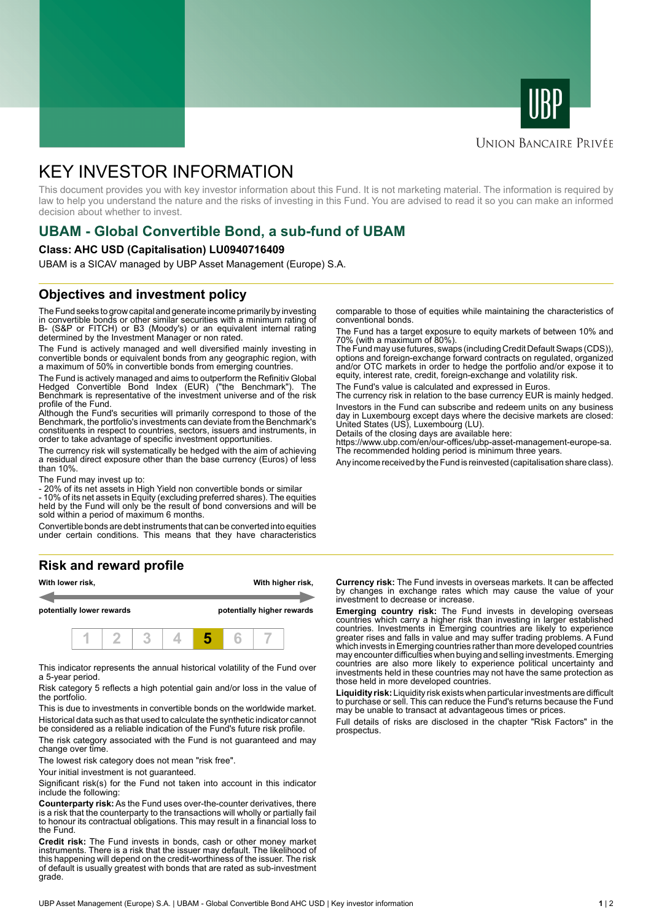



#### **UNION BANCAIRE PRIVÉE**

# KEY INVESTOR INFORMATION

This document provides you with key investor information about this Fund. It is not marketing material. The information is required by law to help you understand the nature and the risks of investing in this Fund. You are advised to read it so you can make an informed decision about whether to invest.

# **UBAM - Global Convertible Bond, a sub-fund of UBAM**

#### **Class: AHC USD (Capitalisation) LU0940716409**

UBAM is a SICAV managed by UBP Asset Management (Europe) S.A.

### **Objectives and investment policy**

The Fund seeks to grow capital and generate income primarily by investing in convertible bonds or other similar securities with a minimum rating of B- (S&P or FITCH) or B3 (Moody's) or an equivalent internal rating determined by the Investment Manager or non rated.

The Fund is actively managed and well diversified mainly investing in convertible bonds or equivalent bonds from any geographic region, with a maximum of 50% in convertible bonds from emerging countries.

The Fund is actively managed and aims to outperform the Refinitiv Global Hedged Convertible Bond Index (EUR) ("the Benchmark"). The Benchmark is representative of the investment universe and of the risk profile of the Fund.

Although the Fund's securities will primarily correspond to those of the Benchmark, the portfolio's investments can deviate from the Benchmark's constituents in respect to countries, sectors, issuers and instruments, in order to take advantage of specific investment opportunities.

The currency risk will systematically be hedged with the aim of achieving a residual direct exposure other than the base currency (Euros) of less than 10%.

The Fund may invest up to:

- 20% of its net assets in High Yield non convertible bonds or similar

- 10% of its net assets in Equity (excluding preferred shares). The equities held by the Fund will only be the result of bond conversions and will be sold within a period of maximum 6 months.

Convertible bonds are debt instruments that can be converted into equities under certain conditions. This means that they have characteristics

# **Risk and reward profile**



This indicator represents the annual historical volatility of the Fund over a 5-year period.

Risk category 5 reflects a high potential gain and/or loss in the value of the portfolio.

This is due to investments in convertible bonds on the worldwide market. Historical data such as that used to calculate the synthetic indicator cannot be considered as a reliable indication of the Fund's future risk profile.

The risk category associated with the Fund is not guaranteed and may change over time.

The lowest risk category does not mean "risk free".

Your initial investment is not quaranteed.

Significant risk(s) for the Fund not taken into account in this indicator include the following:

**Counterparty risk:** As the Fund uses over-the-counter derivatives, there is a risk that the counterparty to the transactions will wholly or partially fail to honour its contractual obligations. This may result in a financial loss to the Fund.

**Credit risk:** The Fund invests in bonds, cash or other money market instruments. There is a risk that the issuer may default. The likelihood of this happening will depend on the credit-worthiness of the issuer. The risk of default is usually greatest with bonds that are rated as sub-investment grade.

comparable to those of equities while maintaining the characteristics of conventional bonds.

The Fund has a target exposure to equity markets of between 10% and 70% (with a maximum of 80%).

The Fund may use futures, swaps (including Credit Default Swaps (CDS)), options and foreign-exchange forward contracts on regulated, organized and/or OTC markets in order to hedge the portfolio and/or expose it to equity, interest rate, credit, foreign-exchange and volatility risk.

The Fund's value is calculated and expressed in Euros.

The currency risk in relation to the base currency EUR is mainly hedged. Investors in the Fund can subscribe and redeem units on any business day in Luxembourg except days where the decisive markets are closed: United States (US), Luxembourg (LU).

Details of the closing days are available here:

https://www.ubp.com/en/our-offices/ubp-asset-management-europe-sa. The recommended holding period is minimum three years.

Any income received by the Fund is reinvested (capitalisation share class).

**Currency risk:** The Fund invests in overseas markets. It can be affected by changes in exchange rates which may cause the value of your investment to decrease or increase.

**Emerging country risk:** The Fund invests in developing overseas countries which carry a higher risk than investing in larger established countries. Investments in Emerging countries are likely to experience greater rises and falls in value and may suffer trading problems. A Fund which invests in Emerging countries rather than more developed countries may encounter difficulties when buying and selling investments. Emerging countries are also more likely to experience political uncertainty and investments held in these countries may not have the same protection as those held in more developed countries.

**Liquidity risk:** Liquidity risk exists when particular investments are difficult to purchase or sell. This can reduce the Fund's returns because the Fund may be unable to transact at advantageous times or prices.

Full details of risks are disclosed in the chapter "Risk Factors" in the prospectus.